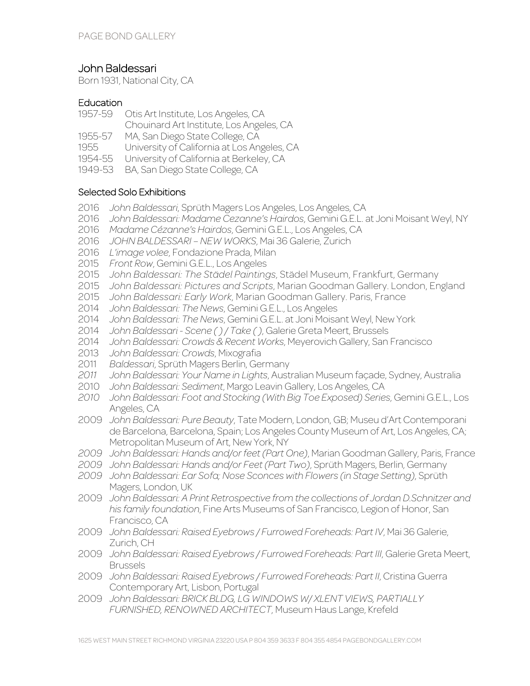# John Baldessari

Born 1931, National City, CA

# Education

- 1957-59 Otis Art Institute, Los Angeles, CA
- Chouinard Art Institute, Los Angeles, CA
- 1955-57 MA, San Diego State College, CA<br>1955 University of California at Los An
- University of California at Los Angeles, CA
- 1954-55 University of California at Berkeley, CA
- 1949-53 BA, San Diego State College, CA

# Selected Solo Exhibitions

- 2016 *John Baldessari*, Sprüth Magers Los Angeles, Los Angeles, CA
- 2016 *John Baldessari: Madame Cezanne's Hairdos*, Gemini G.E.L. at Joni Moisant Weyl, NY
- 2016 *Madame Cézanne's Hairdos*, Gemini G.E.L., Los Angeles, CA
- 2016 *JOHN BALDESSARI – NEW WORKS*, Mai 36 Galerie, Zurich
- 2016 *L'image volee*, Fondazione Prada, Milan
- 2015 *Front Row*, Gemini G.E.L., Los Angeles
- 2015 *John Baldessari: The Städel Paintings*, Städel Museum, Frankfurt, Germany
- 2015 *John Baldessari: Pictures and Scripts*, Marian Goodman Gallery. London, England
- 2015 *John Baldessari: Early Work*, Marian Goodman Gallery. Paris, France
- 2014 *John Baldessari: The News*, Gemini G.E.L., Los Angeles
- 2014 *John Baldessari: The News*, Gemini G.E.L. at Joni Moisant Weyl, New York
- 2014 *John Baldessari - Scene ( ) / Take ( )*, Galerie Greta Meert, Brussels
- 2014 *John Baldessari: Crowds & Recent Works*, Meyerovich Gallery, San Francisco
- 2013 *John Baldessari: Crowds*, Mixografia
- 2011 *Baldessari*, Sprüth Magers Berlin, Germany
- *2011 John Baldessari: Your Name in Lights*, Australian Museum façade, Sydney, Australia
- 2010 *John Baldessari: Sediment*, Margo Leavin Gallery, Los Angeles, CA
- *2010 John Baldessari: Foot and Stocking (With Big Toe Exposed) Series*, Gemini G.E.L., Los Angeles, CA
- 2009 *John Baldessari: Pure Beauty*, Tate Modern, London, GB; Museu d'Art Contemporani de Barcelona, Barcelona, Spain; Los Angeles County Museum of Art, Los Angeles, CA; Metropolitan Museum of Art, New York, NY
- *2009 John Baldessari: Hands and/or feet (Part One)*, Marian Goodman Gallery, Paris, France
- *2009 John Baldessari: Hands and/or Feet (Part Two)*, Sprüth Magers, Berlin, Germany
- *2009 John Baldessari: Ear Sofa; Nose Sconces with Flowers (in Stage Setting)*, Sprüth Magers, London, UK
- 2009 *John Baldessari: A Print Retrospective from the collections of Jordan D.Schnitzer and his family foundation*, Fine Arts Museums of San Francisco, Legion of Honor, San Francisco, CA
- 2009 *John Baldessari: Raised Eyebrows / Furrowed Foreheads: Part IV*, Mai 36 Galerie, Zurich, CH
- 2009 *John Baldessari: Raised Eyebrows / Furrowed Foreheads: Part III*, Galerie Greta Meert, Brussels
- 2009 *John Baldessari: Raised Eyebrows / Furrowed Foreheads: Part II*, Cristina Guerra Contemporary Art, Lisbon, Portugal
- 2009 *John Baldessari: BRICK BLDG, LG WINDOWS W/ XLENT VIEWS, PARTIALLY FURNISHED, RENOWNED ARCHITECT*, Museum Haus Lange, Krefeld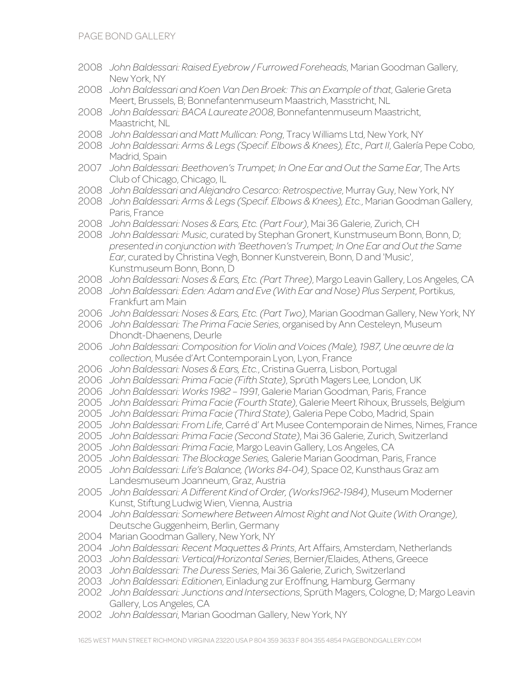- *John Baldessari: Raised Eyebrow / Furrowed Foreheads*, Marian Goodman Gallery, New York, NY
- *John Baldessari and Koen Van Den Broek: This an Example of that*, Galerie Greta Meert, Brussels, B; Bonnefantenmuseum Maastrich, Masstricht, NL
- *John Baldessari: BACA Laureate 2008*, Bonnefantenmuseum Maastricht, Maastricht, NL
- *John Baldessari and Matt Mullican: Pong*, Tracy Williams Ltd, New York, NY
- *John Baldessari: Arms & Legs (Specif. Elbows & Knees), Etc., Part II*, Galería Pepe Cobo, Madrid, Spain
- *John Baldessari: Beethoven's Trumpet; In One Ear and Out the Same Ear*, The Arts Club of Chicago, Chicago, IL
- *John Baldessari and Alejandro Cesarco: Retrospective*, Murray Guy, New York, NY
- *John Baldessari: Arms & Legs (Specif. Elbows & Knees), Etc.*, Marian Goodman Gallery, Paris, France
- *John Baldessari: Noses & Ears, Etc. (Part Four)*, Mai 36 Galerie, Zurich, CH
- *John Baldessari: Music*, curated by Stephan Gronert, Kunstmuseum Bonn, Bonn, D; *presented in conjunction with 'Beethoven's Trumpet; In One Ear and Out the Same Ear*, curated by Christina Vegh, Bonner Kunstverein, Bonn, D and 'Music', Kunstmuseum Bonn, Bonn, D
- *John Baldessari: Noses & Ears, Etc. (Part Three)*, Margo Leavin Gallery, Los Angeles, CA
- *John Baldessari: Eden: Adam and Eve (With Ear and Nose) Plus Serpent*, Portikus, Frankfurt am Main
- *John Baldessari: Noses & Ears, Etc. (Part Two)*, Marian Goodman Gallery, New York, NY
- *John Baldessari: The Prima Facie Series*, organised by Ann Cesteleyn, Museum Dhondt-Dhaenens, Deurle
- *John Baldessari: Composition for Violin and Voices (Male), 1987, Une œuvre de la collection*, Musée d'Art Contemporain Lyon, Lyon, France
- *John Baldessari: Noses & Ears, Etc.*, Cristina Guerra, Lisbon, Portugal
- *John Baldessari: Prima Facie (Fifth State)*, Sprüth Magers Lee, London, UK
- *John Baldessari: Works 1982 – 1991*, Galerie Marian Goodman, Paris, France
- *John Baldessari: Prima Facie (Fourth State)*, Galerie Meert Rihoux, Brussels, Belgium
- *John Baldessari: Prima Facie (Third State)*, Galeria Pepe Cobo, Madrid, Spain
- *John Baldessari: From Life*, Carré d' Art Musee Contemporain de Nimes, Nimes, France
- *John Baldessari: Prima Facie (Second State)*, Mai 36 Galerie, Zurich, Switzerland
- *John Baldessari: Prima Facie*, Margo Leavin Gallery, Los Angeles, CA
- *John Baldessari: The Blockage Series,* Galerie Marian Goodman, Paris, France
- *John Baldessari: Life's Balance, (Works 84-04)*, Space 02, Kunsthaus Graz am Landesmuseum Joanneum, Graz, Austria
- *John Baldessari: A Different Kind of Order, (Works1962-1984)*, Museum Moderner Kunst, Stiftung Ludwig Wien, Vienna, Austria
- *John Baldessari: Somewhere Between Almost Right and Not Quite (With Orange)*, Deutsche Guggenheim, Berlin, Germany
- Marian Goodman Gallery, New York, NY
- *John Baldessari: Recent Maquettes & Prints*, Art Affairs, Amsterdam, Netherlands
- *John Baldessari: Vertical/Horizontal Series*, Bernier/Elaides, Athens, Greece
- *John Baldessari: The Duress Series*, Mai 36 Galerie, Zurich, Switzerland
- *John Baldessari: Editionen*, Einladung zur Eröffnung, Hamburg, Germany
- *John Baldessari: Junctions and Intersections*, Sprüth Magers, Cologne, D; Margo Leavin Gallery, Los Angeles, CA
- *John Baldessari*, Marian Goodman Gallery, New York, NY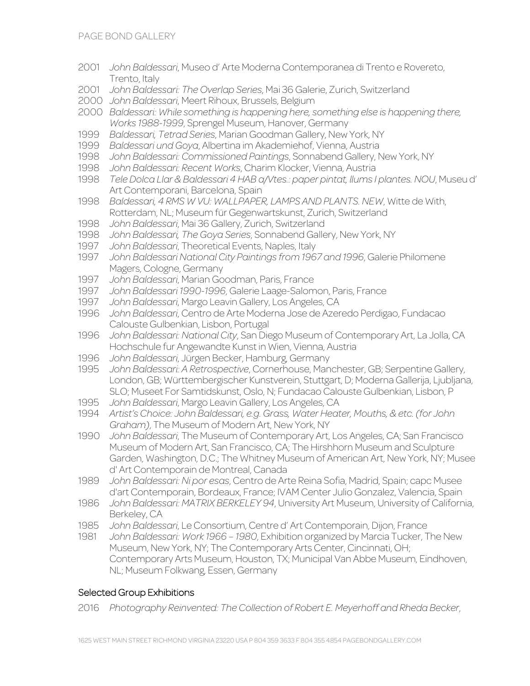- 2001 *John Baldessari*, Museo d' Arte Moderna Contemporanea di Trento e Rovereto, Trento, Italy
- 2001 *John Baldessari: The Overlap Series*, Mai 36 Galerie, Zurich, Switzerland
- 2000 *John Baldessari*, Meert Rihoux, Brussels, Belgium
- 2000 *Baldessari: While something is happening here, something else is happening there, Works 1988-1999*, Sprengel Museum, Hanover, Germany
- 1999 *Baldessari, Tetrad Series*, Marian Goodman Gallery, New York, NY
- 1999 *Baldessari und Goya*, Albertina im Akademiehof, Vienna, Austria
- 1998 *John Baldessari: Commissioned Paintings*, Sonnabend Gallery, New York, NY
- 1998 *John Baldessari: Recent Works*, Charim Klocker, Vienna, Austria
- 1998 *Tele Dolca Llar & Baldessari 4 HAB a/Vtes.: paper pintat, llums I plantes. NOU*, Museu d' Art Contemporani, Barcelona, Spain
- 1998 *Baldessari, 4 RMS W VU: WALLPAPER, LAMPS AND PLANTS. NEW*, Witte de With, Rotterdam, NL; Museum für Gegenwartskunst, Zurich, Switzerland
- 1998 *John Baldessari*, Mai 36 Gallery, Zurich, Switzerland
- 1998 *John Baldessari, The Goya Series*, Sonnabend Gallery, New York, NY
- 1997 *John Baldessari*, Theoretical Events, Naples, Italy
- 1997 *John Baldessari National City Paintings from 1967 and 1996*, Galerie Philomene Magers, Cologne, Germany
- 1997 *John Baldessari*, Marian Goodman, Paris, France
- 1997 *John Baldessari 1990-1996*, Galerie Laage-Salomon, Paris, France
- 1997 *John Baldessari*, Margo Leavin Gallery, Los Angeles, CA
- 1996 *John Baldessari*, Centro de Arte Moderna Jose de Azeredo Perdigao, Fundacao Calouste Gulbenkian, Lisbon, Portugal
- 1996 *John Baldessari: National City*, San Diego Museum of Contemporary Art, La Jolla, CA Hochschule fur Angewandte Kunst in Wien, Vienna, Austria
- 1996 *John Baldessari*, Jürgen Becker, Hamburg, Germany
- 1995 *John Baldessari: A Retrospective*, Cornerhouse, Manchester, GB; Serpentine Gallery, London, GB; Württembergischer Kunstverein, Stuttgart, D; Moderna Gallerija, Ljubljana, SLO; Museet For Samtidskunst, Oslo, N; Fundacao Calouste Gulbenkian, Lisbon, P
- 1995 *John Baldessari*, Margo Leavin Gallery, Los Angeles, CA
- 1994 *Artist's Choice: John Baldessari, e.g. Grass, Water Heater, Mouths, & etc. (for John Graham)*, The Museum of Modern Art, New York, NY
- 1990 *John Baldessari*, The Museum of Contemporary Art, Los Angeles, CA; San Francisco Museum of Modern Art, San Francisco, CA; The Hirshhorn Museum and Sculpture Garden, Washington, D.C.; The Whitney Museum of American Art, New York, NY; Musee d' Art Contemporain de Montreal, Canada
- 1989 *John Baldessari: Ni por esas*, Centro de Arte Reina Sofia, Madrid, Spain; capc Musee d'art Contemporain, Bordeaux, France; IVAM Center Julio Gonzalez, Valencia, Spain
- 1986 *John Baldessari: MATRIX BERKELEY 94*, University Art Museum, University of California, Berkeley, CA
- 1985 *John Baldessari*, Le Consortium, Centre d' Art Contemporain, Dijon, France
- 1981 *John Baldessari: Work 1966 – 1980*, Exhibition organized by Marcia Tucker, The New Museum, New York, NY; The Contemporary Arts Center, Cincinnati, OH; Contemporary Arts Museum, Houston, TX; Municipal Van Abbe Museum, Eindhoven, NL; Museum Folkwang, Essen, Germany

### Selected Group Exhibitions

2016 *Photography Reinvented: The Collection of Robert E. Meyerhoff and Rheda Becker*,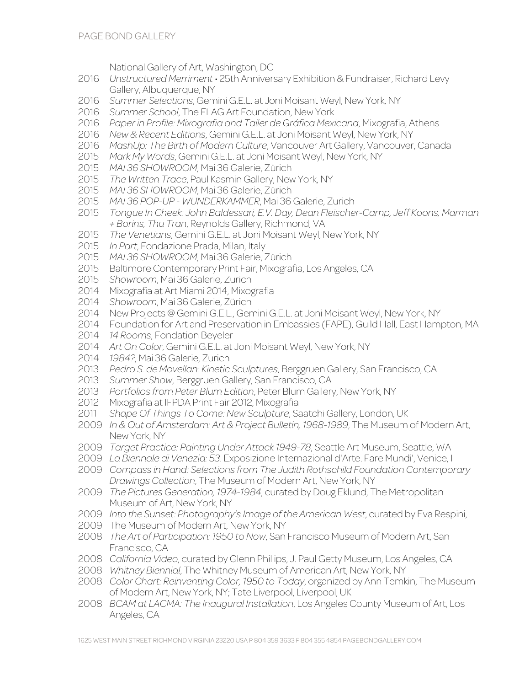National Gallery of Art, Washington, DC

- *Unstructured Merriment* 25th Anniversary Exhibition & Fundraiser, Richard Levy Gallery, Albuquerque, NY
- *Summer Selections*, Gemini G.E.L. at Joni Moisant Weyl, New York, NY
- *Summer School*, The FLAG Art Foundation, New York
- *Paper in Profile: Mixografia and Taller de Gráfica Mexicana*, Mixografia, Athens
- *New & Recent Editions*, Gemini G.E.L. at Joni Moisant Weyl, New York, NY
- *MashUp: The Birth of Modern Culture*, Vancouver Art Gallery, Vancouver, Canada
- *Mark My Words*, Gemini G.E.L. at Joni Moisant Weyl, New York, NY
- *MAI 36 SHOWROOM*, Mai 36 Galerie, Zürich
- *The Written Trace*, Paul Kasmin Gallery, New York, NY
- *MAI 36 SHOWROOM*, Mai 36 Galerie, Zürich
- *MAI 36 POP-UP - WUNDERKAMMER*, Mai 36 Galerie, Zurich
- *Tongue In Cheek: John Baldessari, E.V. Day, Dean Fleischer-Camp, Jeff Koons, Marman + Borins, Thu Tran*, Reynolds Gallery, Richmond, VA
- *The Venetians*, Gemini G.E.L. at Joni Moisant Weyl, New York, NY
- *In Part*, Fondazione Prada, Milan, Italy
- *MAI 36 SHOWROOM*, Mai 36 Galerie, Zürich
- Baltimore Contemporary Print Fair, Mixografia, Los Angeles, CA
- *Showroom*, Mai 36 Galerie, Zurich
- Mixografia at Art Miami 2014, Mixografia
- *Showroom*, Mai 36 Galerie, Zürich
- New Projects @ Gemini G.E.L., Gemini G.E.L. at Joni Moisant Weyl, New York, NY
- Foundation for Art and Preservation in Embassies (FAPE), Guild Hall, East Hampton, MA
- *14 Rooms*, Fondation Beyeler
- *Art On Color*, Gemini G.E.L. at Joni Moisant Weyl, New York, NY
- *1984?*, Mai 36 Galerie, Zurich
- *Pedro S. de Movellan: Kinetic Sculptures*, Berggruen Gallery, San Francisco, CA
- *Summer Show*, Berggruen Gallery, San Francisco, CA
- *Portfolios from Peter Blum Edition*, Peter Blum Gallery, New York, NY
- Mixografia at IFPDA Print Fair 2012, Mixografia
- *Shape Of Things To Come: New Sculpture*, Saatchi Gallery, London, UK
- *In & Out of Amsterdam: Art & Project Bulletin, 1968-1989*, The Museum of Modern Art, New York, NY
- *Target Practice: Painting Under Attack 1949-78*, Seattle Art Museum, Seattle, WA
- *La Biennale di Venezia: 53*. Exposizione Internazional d'Arte. Fare Mundi', Venice, I
- *Compass in Hand: Selections from The Judith Rothschild Foundation Contemporary Drawings Collection*, The Museum of Modern Art, New York, NY
- *The Pictures Generation, 1974-1984*, curated by Doug Eklund, The Metropolitan Museum of Art, New York, NY
- *Into the Sunset: Photography's Image of the American West*, curated by Eva Respini,
- The Museum of Modern Art, New York, NY
- *The Art of Participation: 1950 to Now*, San Francisco Museum of Modern Art, San Francisco, CA
- *California Video*, curated by Glenn Phillips, J. Paul Getty Museum, Los Angeles, CA
- *Whitney Biennial*, The Whitney Museum of American Art, New York, NY
- *Color Chart: Reinventing Color, 1950 to Today*, organized by Ann Temkin, The Museum of Modern Art, New York, NY; Tate Liverpool, Liverpool, UK
- *BCAM at LACMA: The Inaugural Installation*, Los Angeles County Museum of Art, Los Angeles, CA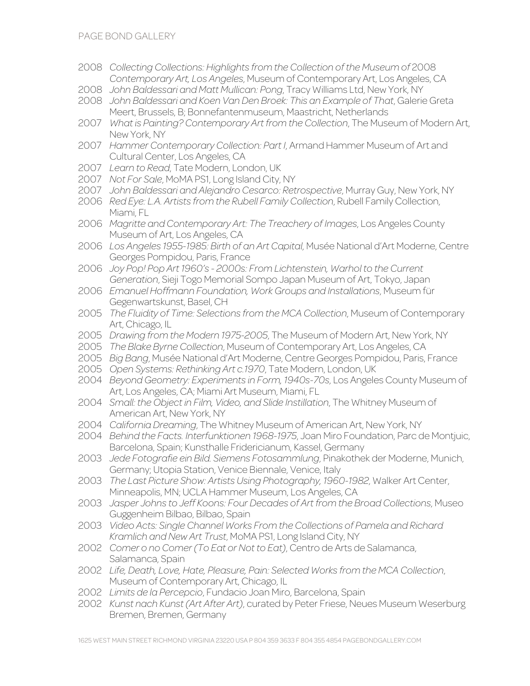- 2008 *Collecting Collections: Highlights from the Collection of the Museum of* 2008 *Contemporary Art, Los Angeles*, Museum of Contemporary Art, Los Angeles, CA
- 2008 *John Baldessari and Matt Mullican: Pong*, Tracy Williams Ltd, New York, NY
- 2008 *John Baldessari and Koen Van Den Broek: This an Example of That*, Galerie Greta Meert, Brussels, B; Bonnefantenmuseum, Maastricht, Netherlands
- 2007 *What is Painting? Contemporary Art from the Collection*, The Museum of Modern Art, New York, NY
- 2007 *Hammer Contemporary Collection: Part I*, Armand Hammer Museum of Art and Cultural Center, Los Angeles, CA
- 2007 *Learn to Read*, Tate Modern, London, UK
- 2007 *Not For Sale*, MoMA PS1, Long Island City, NY
- 2007 *John Baldessari and Alejandro Cesarco: Retrospective*, Murray Guy, New York, NY
- 2006 *Red Eye: L.A. Artists from the Rubell Family Collection*, Rubell Family Collection, Miami, FL
- 2006 *Magritte and Contemporary Art: The Treachery of Images*, Los Angeles County Museum of Art, Los Angeles, CA
- 2006 *Los Angeles 1955-1985: Birth of an Art Capital*, Musée National d'Art Moderne, Centre Georges Pompidou, Paris, France
- 2006 *Joy Pop! Pop Art 1960's - 2000s: From Lichtenstein, Warhol to the Current Generation*, Sieji Togo Memorial Sompo Japan Museum of Art, Tokyo, Japan
- 2006 *Emanuel Hoffmann Foundation, Work Groups and Installations*, Museum für Gegenwartskunst, Basel, CH
- 2005 *The Fluidity of Time: Selections from the MCA Collection*, Museum of Contemporary Art, Chicago, IL
- 2005 *Drawing from the Modern 1975-2005*, The Museum of Modern Art, New York, NY
- 2005 *The Blake Byrne Collection*, Museum of Contemporary Art, Los Angeles, CA
- 2005 *Big Bang*, Musée National d'Art Moderne, Centre Georges Pompidou, Paris, France
- 2005 *Open Systems: Rethinking Art c.1970*, Tate Modern, London, UK
- 2004 *Beyond Geometry: Experiments in Form, 1940s-70s*, Los Angeles County Museum of Art, Los Angeles, CA; Miami Art Museum, Miami, FL
- 2004 *Small: the Object in Film, Video, and Slide Instillation*, The Whitney Museum of American Art, New York, NY
- 2004 *California Dreaming*, The Whitney Museum of American Art, New York, NY
- 2004 *Behind the Facts. Interfunktionen 1968-1975*, Joan Miro Foundation, Parc de Montjuic, Barcelona, Spain; Kunsthalle Fridericianum, Kassel, Germany
- 2003 *Jede Fotografie ein Bild. Siemens Fotosammlung*, Pinakothek der Moderne, Munich, Germany; Utopia Station, Venice Biennale, Venice, Italy
- 2003 *The Last Picture Show: Artists Using Photography, 1960-1982*, Walker Art Center, Minneapolis, MN; UCLA Hammer Museum, Los Angeles, CA
- 2003 *Jasper Johns to Jeff Koons: Four Decades of Art from the Broad Collections*, Museo Guggenheim Bilbao, Bilbao, Spain
- 2003 *Video Acts: Single Channel Works From the Collections of Pamela and Richard Kramlich and New Art Trust*, MoMA PS1, Long Island City, NY
- 2002 *Comer o no Comer (To Eat or Not to Eat)*, Centro de Arts de Salamanca, Salamanca, Spain
- 2002 *Life, Death, Love, Hate, Pleasure, Pain: Selected Works from the MCA Collection*, Museum of Contemporary Art, Chicago, IL
- 2002 *Limits de la Percepcio*, Fundacio Joan Miro, Barcelona, Spain
- 2002 *Kunst nach Kunst (Art After Art)*, curated by Peter Friese, Neues Museum Weserburg Bremen, Bremen, Germany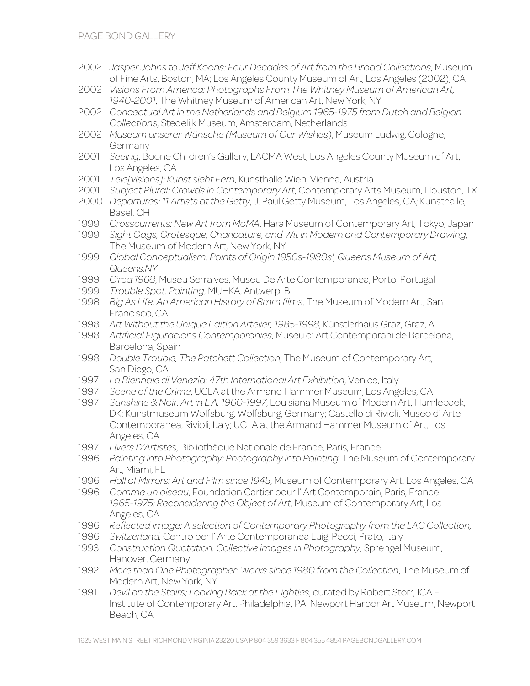- 2002 *Jasper Johns to Jeff Koons: Four Decades of Art from the Broad Collections*, Museum of Fine Arts, Boston, MA; Los Angeles County Museum of Art, Los Angeles (2002), CA
- 2002 *Visions From America: Photographs From The Whitney Museum of American Art, 1940-2001*, The Whitney Museum of American Art, New York, NY
- 2002 *Conceptual Art in the Netherlands and Belgium 1965-1975 from Dutch and Belgian Collections*, Stedelijk Museum, Amsterdam, Netherlands
- 2002 *Museum unserer Wünsche (Museum of Our Wishes)*, Museum Ludwig, Cologne, Germany
- 2001 *Seeing*, Boone Children's Gallery, LACMA West, Los Angeles County Museum of Art, Los Angeles, CA
- 2001 *Tele[visions]: Kunst sieht Fern*, Kunsthalle Wien, Vienna, Austria
- 2001 *Subject Plural: Crowds in Contemporary Art*, Contemporary Arts Museum, Houston, TX
- 2000 *Departures: 11 Artists at the Getty*, J. Paul Getty Museum, Los Angeles, CA; Kunsthalle, Basel, CH
- 1999 *Crosscurrents: New Art from MoMA*, Hara Museum of Contemporary Art, Tokyo, Japan
- 1999 *Sight Gags, Grotesque, Charicature, and Wit in Modern and Contemporary Drawing*, The Museum of Modern Art, New York, NY
- 1999 *Global Conceptualism: Points of Origin 1950s-1980s', Queens Museum of Art, Queens,NY*
- 1999 *Circa 1968*, Museu Serralves, Museu De Arte Contemporanea, Porto, Portugal
- 1999 *Trouble Spot. Painting*, MUHKA, Antwerp, B
- 1998 *Big As Life: An American History of 8mm films*, The Museum of Modern Art, San Francisco, CA
- 1998 *Art Without the Unique Edition Artelier, 1985-1998*, Künstlerhaus Graz, Graz, A
- 1998 *Artificial Figuracions Contemporanies*, Museu d' Art Contemporani de Barcelona, Barcelona, Spain
- 1998 *Double Trouble, The Patchett Collection*, The Museum of Contemporary Art, San Diego, CA
- 1997 *La Biennale di Venezia: 47th International Art Exhibition*, Venice, Italy
- 1997 *Scene of the Crime*, UCLA at the Armand Hammer Museum, Los Angeles, CA
- 1997 *Sunshine & Noir. Art in L.A. 1960-1997*, Louisiana Museum of Modern Art, Humlebaek, DK; Kunstmuseum Wolfsburg, Wolfsburg, Germany; Castello di Rivioli, Museo d' Arte Contemporanea, Rivioli, Italy; UCLA at the Armand Hammer Museum of Art, Los Angeles, CA
- 1997 *Livers D'Artistes*, Bibliothèque Nationale de France, Paris, France
- 1996 *Painting into Photography: Photography into Painting*, The Museum of Contemporary Art, Miami, FL
- 1996 *Hall of Mirrors: Art and Film since 1945*, Museum of Contemporary Art, Los Angeles, CA
- 1996 *Comme un oiseau*, Foundation Cartier pour l' Art Contemporain, Paris, France *1965-1975: Reconsidering the Object of Art*, Museum of Contemporary Art, Los Angeles, CA
- 1996 *Reflected Image: A selection of Contemporary Photography from the LAC Collection,*
- 1996 *Switzerland,* Centro per l' Arte Contemporanea Luigi Pecci, Prato, Italy
- 1993 *Construction Quotation: Collective images in Photography*, Sprengel Museum, Hanover, Germany
- 1992 *More than One Photographer: Works since 1980 from the Collection*, The Museum of Modern Art, New York, NY
- 1991 *Devil on the Stairs; Looking Back at the Eighties*, curated by Robert Storr, ICA Institute of Contemporary Art, Philadelphia, PA; Newport Harbor Art Museum, Newport Beach, CA